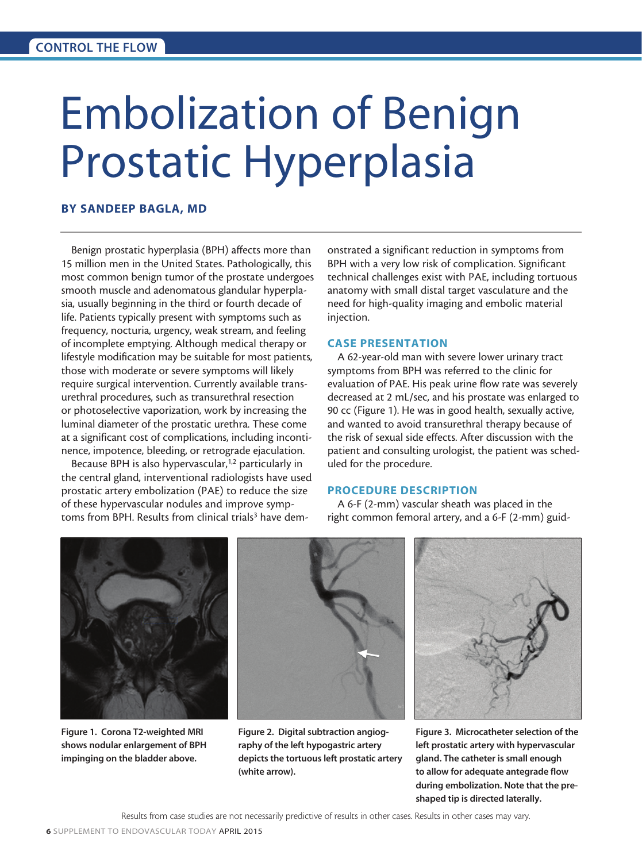# Embolization of Benign Prostatic Hyperplasia

## BY SANDEEP BAGLA, MD

Benign prostatic hyperplasia (BPH) affects more than 15 million men in the United States. Pathologically, this most common benign tumor of the prostate undergoes smooth muscle and adenomatous glandular hyperplasia, usually beginning in the third or fourth decade of life. Patients typically present with symptoms such as frequency, nocturia, urgency, weak stream, and feeling of incomplete emptying. Although medical therapy or lifestyle modification may be suitable for most patients, those with moderate or severe symptoms will likely require surgical intervention. Currently available transurethral procedures, such as transurethral resection or photoselective vaporization, work by increasing the luminal diameter of the prostatic urethra. These come at a significant cost of complications, including incontinence, impotence, bleeding, or retrograde ejaculation.

Because BPH is also hypervascular,<sup>1,2</sup> particularly in the central gland, interventional radiologists have used prostatic artery embolization (PAE) to reduce the size of these hypervascular nodules and improve symptoms from BPH. Results from clinical trials<sup>3</sup> have demonstrated a significant reduction in symptoms from BPH with a very low risk of complication. Significant technical challenges exist with PAE, including tortuous anatomy with small distal target vasculature and the need for high-quality imaging and embolic material injection.

# CASE PRESENTATION

A 62-year-old man with severe lower urinary tract symptoms from BPH was referred to the clinic for evaluation of PAE. His peak urine flow rate was severely decreased at 2 mL/sec, and his prostate was enlarged to 90 cc (Figure 1). He was in good health, sexually active, and wanted to avoid transurethral therapy because of the risk of sexual side effects. After discussion with the patient and consulting urologist, the patient was scheduled for the procedure.

#### PROCEDURE DESCRIPTION

A 6-F (2-mm) vascular sheath was placed in the right common femoral artery, and a 6-F (2-mm) guid-



Figure 1. Corona T2-weighted MRI shows nodular enlargement of BPH impinging on the bladder above.



Figure 2. Digital subtraction angiography of the left hypogastric artery depicts the tortuous left prostatic artery (white arrow).



Figure 3. Microcatheter selection of the left prostatic artery with hypervascular gland. The catheter is small enough to allow for adequate antegrade flow during embolization. Note that the preshaped tip is directed laterally.